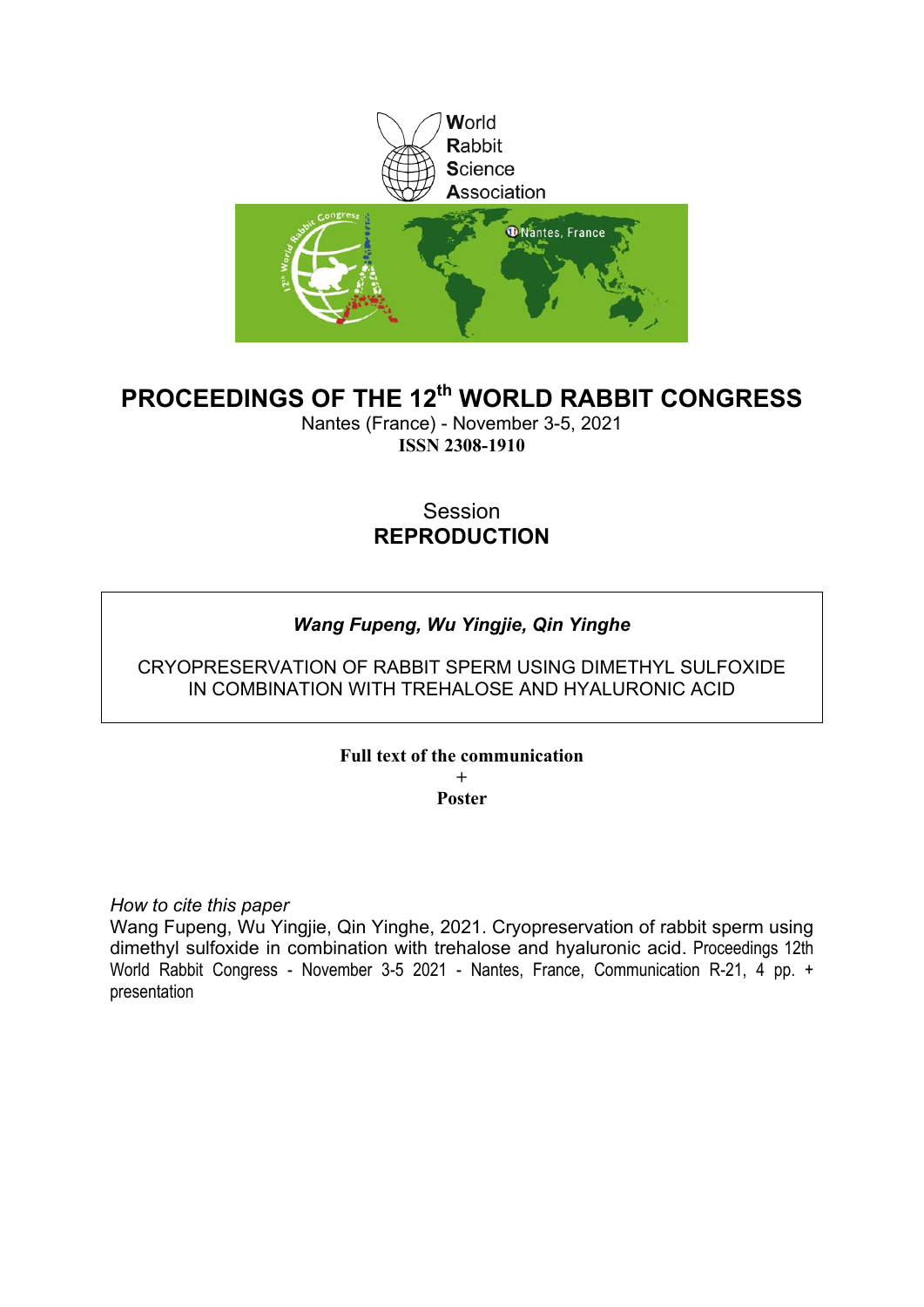

# **PROCEEDINGS OF THE 12th WORLD RABBIT CONGRESS**

Nantes (France) - November 3-5, 2021 **ISSN 2308-1910**

# Session **REPRODUCTION**

# *Wang Fupeng, Wu Yingjie, Qin Yinghe*

## CRYOPRESERVATION OF RABBIT SPERM USING DIMETHYL SULFOXIDE IN COMBINATION WITH TREHALOSE AND HYALURONIC ACID

# **Full text of the communication**

**+ Poster**

*How to cite this paper*

Wang Fupeng, Wu Yingjie, Qin Yinghe, 2021. Cryopreservation of rabbit sperm using dimethyl sulfoxide in combination with trehalose and hyaluronic acid. Proceedings 12th World Rabbit Congress - November 3-5 2021 - Nantes, France, Communication R-21, 4 pp. + presentation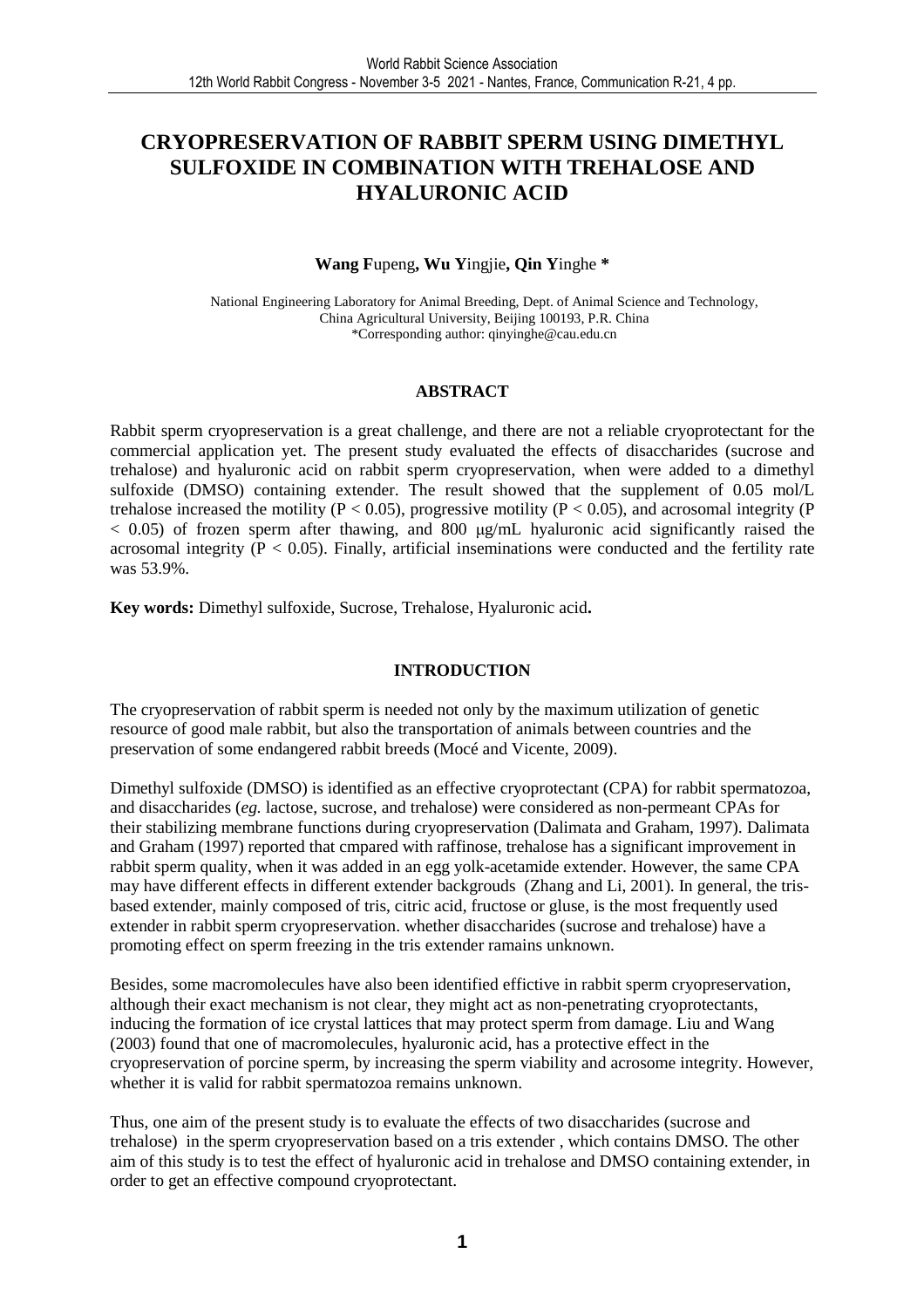# **CRYOPRESERVATION OF RABBIT SPERM USING DIMETHYL SULFOXIDE IN COMBINATION WITH TREHALOSE AND HYALURONIC ACID**

#### **Wang F**upeng**, Wu Y**ingjie**, Qin Y**inghe **\***

National Engineering Laboratory for Animal Breeding, Dept. of Animal Science and Technology, China Agricultural University, Beijing 100193, P.R. China \*Corresponding author: qinyinghe@cau.edu.cn

#### **ABSTRACT**

Rabbit sperm cryopreservation is a great challenge, and there are not a reliable cryoprotectant for the commercial application yet. The present study evaluated the effects of disaccharides (sucrose and trehalose) and hyaluronic acid on rabbit sperm cryopreservation, when were added to a dimethyl sulfoxide (DMSO) containing extender. The result showed that the supplement of 0.05 mol/L trehalose increased the motility ( $P < 0.05$ ), progressive motility ( $P < 0.05$ ), and acrosomal integrity ( $P$  $< 0.05$ ) of frozen sperm after thawing, and 800  $\mu$ g/mL hyaluronic acid significantly raised the acrosomal integrity ( $P < 0.05$ ). Finally, artificial inseminations were conducted and the fertility rate was 53.9%.

**Key words:** Dimethyl sulfoxide, Sucrose, Trehalose, Hyaluronic acid**.** 

### **INTRODUCTION**

The cryopreservation of rabbit sperm is needed not only by the maximum utilization of genetic resource of good male rabbit, but also the transportation of animals between countries and the preservation of some endangered rabbit breeds (Mocé and Vicente, 2009).

Dimethyl sulfoxide (DMSO) is identified as an effective cryoprotectant (CPA) for rabbit spermatozoa, and disaccharides (*eg.* lactose, sucrose, and trehalose) were considered as non-permeant CPAs for their stabilizing membrane functions during cryopreservation (Dalimata and Graham, 1997). Dalimata and Graham (1997) reported that cmpared with raffinose, trehalose has a significant improvement in rabbit sperm quality, when it was added in an egg yolk-acetamide extender. However, the same CPA may have different effects in different extender backgrouds (Zhang and Li, 2001). In general, the trisbased extender, mainly composed of tris, citric acid, fructose or gluse, is the most frequently used extender in rabbit sperm cryopreservation. whether disaccharides (sucrose and trehalose) have a promoting effect on sperm freezing in the tris extender ramains unknown.

Besides, some macromolecules have also been identified effictive in rabbit sperm cryopreservation, although their exact mechanism is not clear, they might act as non-penetrating cryoprotectants, inducing the formation of ice crystal lattices that may protect sperm from damage. Liu and Wang (2003) found that one of macromolecules, hyaluronic acid, has a protective effect in the cryopreservation of porcine sperm, by increasing the sperm viability and acrosome integrity. However, whether it is valid for rabbit spermatozoa remains unknown.

Thus, one aim of the present study is to evaluate the effects of two disaccharides (sucrose and trehalose) in the sperm cryopreservation based on a tris extender , which contains DMSO. The other aim of this study is to test the effect of hyaluronic acid in trehalose and DMSO containing extender, in order to get an effective compound cryoprotectant.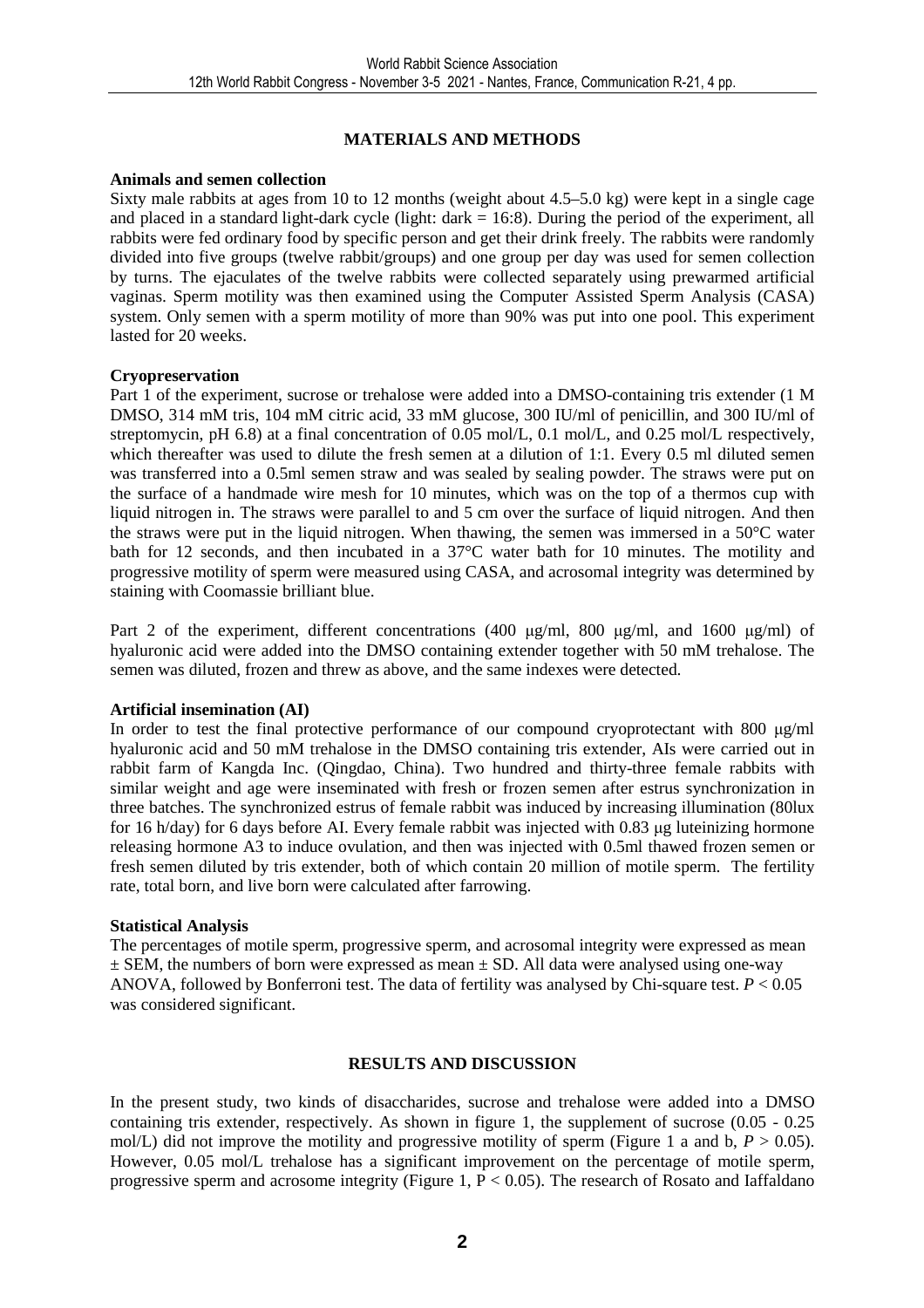## **MATERIALS AND METHODS**

#### **Animals and semen collection**

Sixty male rabbits at ages from 10 to 12 months (weight about 4.5–5.0 kg) were kept in a single cage and placed in a standard light-dark cycle (light:  $dark = 16:8$ ). During the period of the experiment, all rabbits were fed ordinary food by specific person and get their drink freely. The rabbits were randomly divided into five groups (twelve rabbit/groups) and one group per day was used for semen collection by turns. The ejaculates of the twelve rabbits were collected separately using prewarmed artificial vaginas. Sperm motility was then examined using the Computer Assisted Sperm Analysis (CASA) system. Only semen with a sperm motility of more than 90% was put into one pool. This experiment lasted for 20 weeks.

#### **Cryopreservation**

Part 1 of the experiment, sucrose or trehalose were added into a DMSO-containing tris extender (1 M DMSO, 314 mM tris, 104 mM citric acid, 33 mM glucose, 300 IU/ml of penicillin, and 300 IU/ml of streptomycin, pH 6.8) at a final concentration of 0.05 mol/L, 0.1 mol/L, and 0.25 mol/L respectively, which thereafter was used to dilute the fresh semen at a dilution of 1:1. Every 0.5 ml diluted semen was transferred into a 0.5ml semen straw and was sealed by sealing powder. The straws were put on the surface of a handmade wire mesh for 10 minutes, which was on the top of a thermos cup with liquid nitrogen in. The straws were parallel to and 5 cm over the surface of liquid nitrogen. And then the straws were put in the liquid nitrogen. When thawing, the semen was immersed in a 50°C water bath for 12 seconds, and then incubated in a 37°C water bath for 10 minutes. The motility and progressive motility of sperm were measured using CASA, and acrosomal integrity was determined by staining with Coomassie brilliant blue.

Part 2 of the experiment, different concentrations (400  $\mu$ g/ml, 800  $\mu$ g/ml, and 1600  $\mu$ g/ml) of hyaluronic acid were added into the DMSO containing extender together with 50 mM trehalose. The semen was diluted, frozen and threw as above, and the same indexes were detected.

### **Artificial insemination (AI)**

In order to test the final protective performance of our compound cryoprotectant with 800 µg/ml hyaluronic acid and 50 mM trehalose in the DMSO containing tris extender, AIs were carried out in rabbit farm of Kangda Inc. (Qingdao, China). Two hundred and thirty-three female rabbits with similar weight and age were inseminated with fresh or frozen semen after estrus synchronization in three batches. The synchronized estrus of female rabbit was induced by increasing illumination (80lux for 16 h/day) for 6 days before AI. Every female rabbit was injected with 0.83 ug luteinizing hormone releasing hormone A3 to induce ovulation, and then was injected with 0.5ml thawed frozen semen or fresh semen diluted by tris extender, both of which contain 20 million of motile sperm. The fertility rate, total born, and live born were calculated after farrowing.

#### **Statistical Analysis**

The percentages of motile sperm, progressive sperm, and acrosomal integrity were expressed as mean  $\pm$  SEM, the numbers of born were expressed as mean  $\pm$  SD. All data were analysed using one-way ANOVA, followed by Bonferroni test. The data of fertility was analysed by Chi-square test. *P* < 0.05 was considered significant.

### **RESULTS AND DISCUSSION**

In the present study, two kinds of disaccharides, sucrose and trehalose were added into a DMSO containing tris extender, respectively. As shown in figure 1, the supplement of sucrose (0.05 - 0.25 mol/L) did not improve the motility and progressive motility of sperm (Figure 1 a and b,  $P > 0.05$ ). However, 0.05 mol/L trehalose has a significant improvement on the percentage of motile sperm, progressive sperm and acrosome integrity (Figure 1,  $P < 0.05$ ). The research of Rosato and Iaffaldano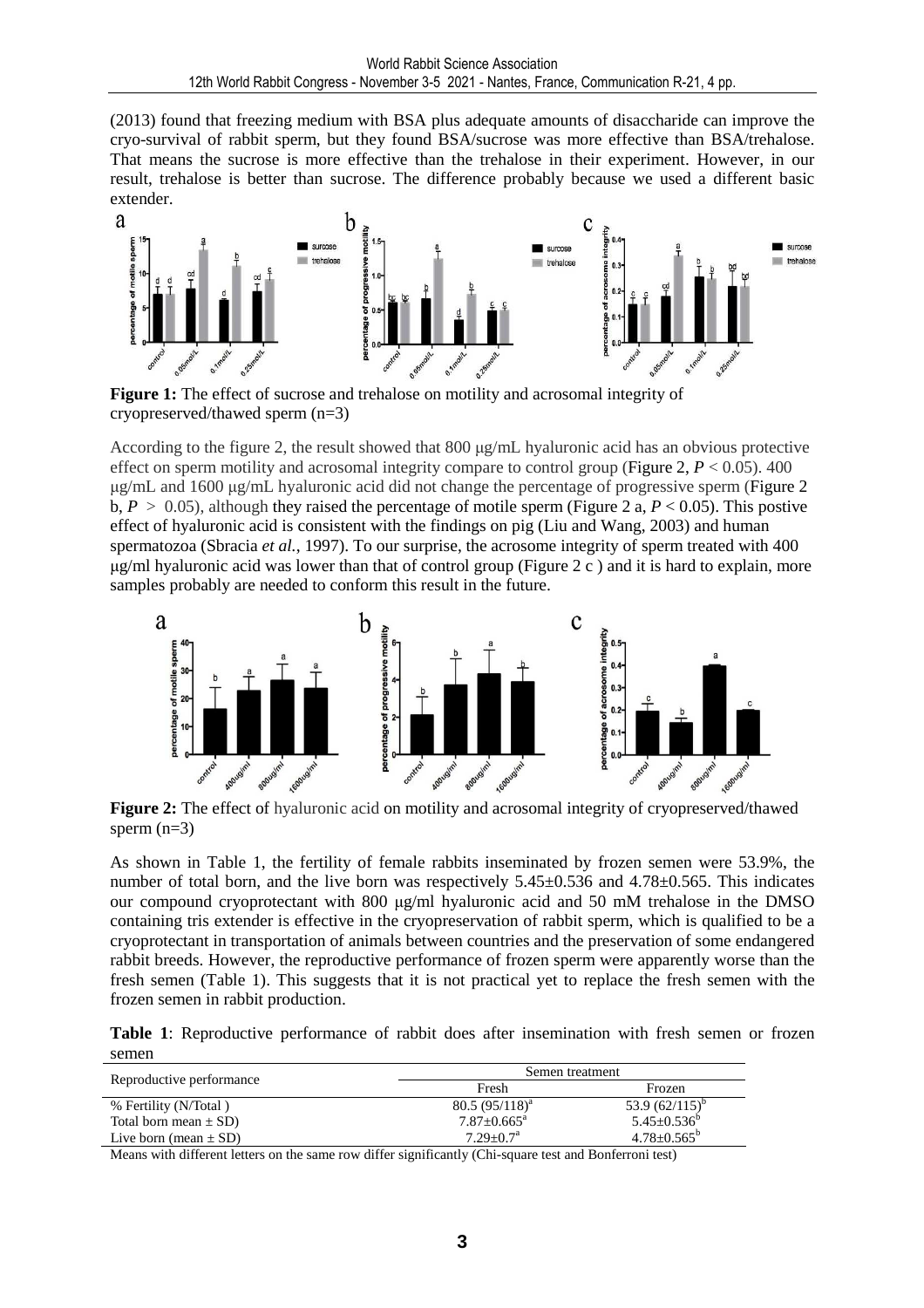(2013) found that freezing medium with BSA plus adequate amounts of disaccharide can improve the cryo-survival of rabbit sperm, but they found BSA/sucrose was more effective than BSA/trehalose. That means the sucrose is more effective than the trehalose in their experiment. However, in our result, trehalose is better than sucrose. The difference probably because we used a different basic extender.



**Figure 1:** The effect of sucrose and trehalose on motility and acrosomal integrity of cryopreserved/thawed sperm (n=3)

According to the figure 2, the result showed that 800  $\mu$ g/mL hyaluronic acid has an obvious protective effect on sperm motility and acrosomal integrity compare to control group (Figure 2,  $P < 0.05$ ). 400 µg/mL and 1600 µg/mL hyaluronic acid did not change the percentage of progressive sperm (Figure 2 b,  $P > 0.05$ ), although they raised the percentage of motile sperm (Figure 2 a,  $P < 0.05$ ). This postive effect of hyaluronic acid is consistent with the findings on pig (Liu and Wang, 2003) and human spermatozoa (Sbracia *et al.*, 1997). To our surprise, the acrosome integrity of sperm treated with 400  $\mu$ g/ml hyaluronic acid was lower than that of control group (Figure 2 c) and it is hard to explain, more samples probably are needed to conform this result in the future.



**Figure 2:** The effect of hyaluronic acid on motility and acrosomal integrity of cryopreserved/thawed sperm  $(n=3)$ 

As shown in Table 1, the fertility of female rabbits inseminated by frozen semen were 53.9%, the number of total born, and the live born was respectively 5.45±0.536 and 4.78±0.565. This indicates our compound cryoprotectant with 800 µg/ml hyaluronic acid and 50 mM trehalose in the DMSO containing tris extender is effective in the cryopreservation of rabbit sperm, which is qualified to be a cryoprotectant in transportation of animals between countries and the preservation of some endangered rabbit breeds. However, the reproductive performance of frozen sperm were apparently worse than the fresh semen (Table 1). This suggests that it is not practical yet to replace the fresh semen with the frozen semen in rabbit production.

**Table 1**: Reproductive performance of rabbit does after insemination with fresh semen or frozen semen

| Reproductive performance  | Semen treatment        |                          |
|---------------------------|------------------------|--------------------------|
|                           | Fresh                  | Frozen                   |
| % Fertility (N/Total)     | $80.5 (95/118)^{a}$    | 53.9 $(62/115)^{6}$      |
| Total born mean $\pm$ SD) | $7.87 + 0.665^{\circ}$ | $5.45 \pm 0.536^b$       |
| Live born (mean $\pm$ SD) | $7.29 + 0.7a$          | $4.78 \pm 0.565^{\circ}$ |

Means with different letters on the same row differ significantly (Chi-square test and Bonferroni test)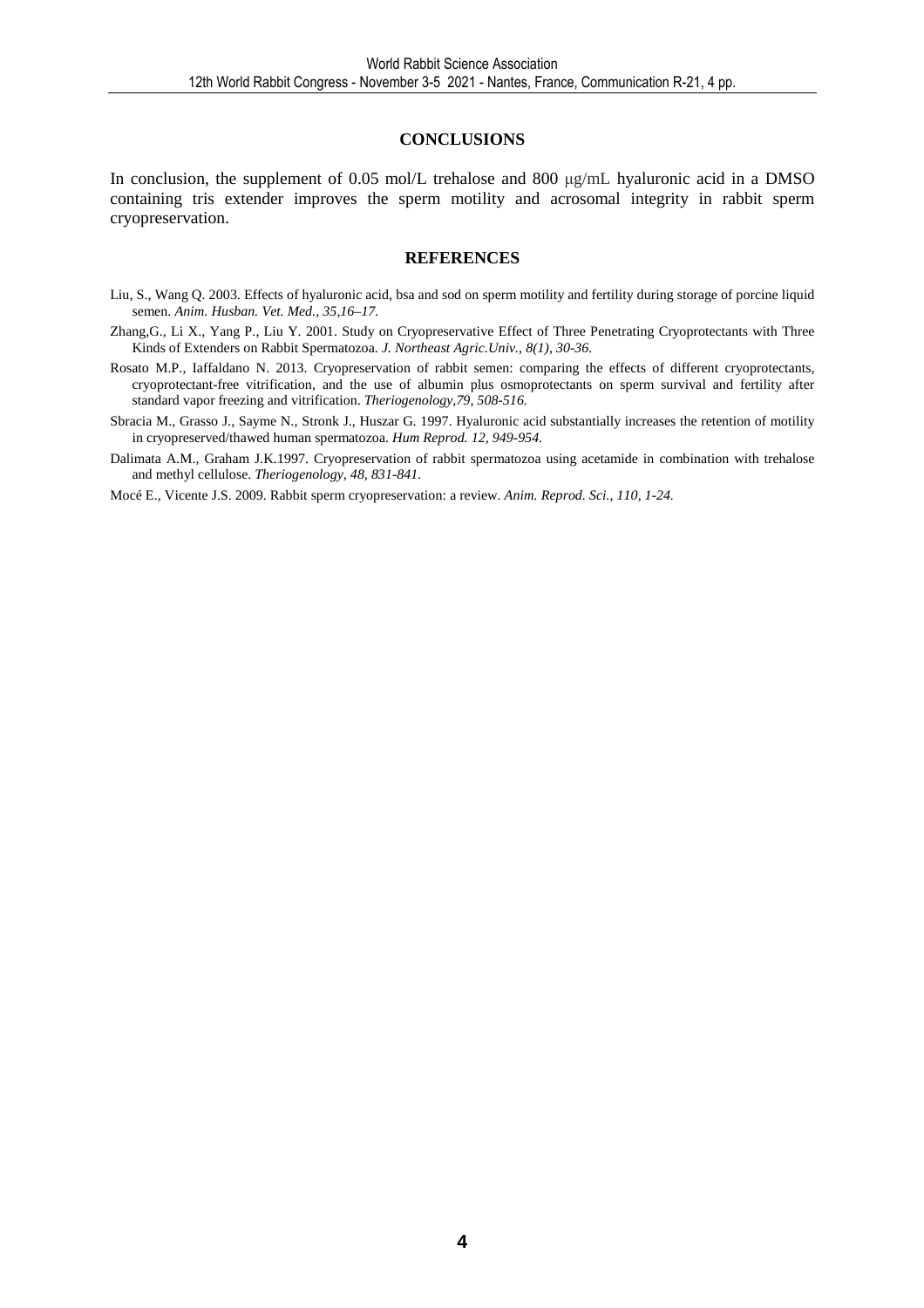#### **CONCLUSIONS**

In conclusion, the supplement of 0.05 mol/L trehalose and 800 µg/mL hyaluronic acid in a DMSO containing tris extender improves the sperm motility and acrosomal integrity in rabbit sperm cryopreservation.

#### **REFERENCES**

- Liu, S., Wang Q. 2003. Effects of hyaluronic acid, bsa and sod on sperm motility and fertility during storage of porcine liquid semen. *Anim. Husban. Vet. Med., 35,16–17.*
- Zhang,G., Li X., Yang P., Liu Y. 2001. Study on Cryopreservative Effect of Three Penetrating Cryoprotectants with Three Kinds of Extenders on Rabbit Spermatozoa. *J. Northeast Agric.Univ., 8(1), 30-36.*
- Rosato M.P., Iaffaldano N. 2013. Cryopreservation of rabbit semen: comparing the effects of different cryoprotectants, cryoprotectant-free vitrification, and the use of albumin plus osmoprotectants on sperm survival and fertility after standard vapor freezing and vitrification. *Theriogenology,79, 508-516.*
- Sbracia M., Grasso J., Sayme N., Stronk J., Huszar G. 1997. Hyaluronic acid substantially increases the retention of motility in cryopreserved/thawed human spermatozoa. *Hum Reprod. 12, 949-954.*
- Dalimata A.M., Graham J.K.1997. Cryopreservation of rabbit spermatozoa using acetamide in combination with trehalose and methyl cellulose. *Theriogenology, 48, 831-841.*

Mocé E., Vicente J.S. 2009. Rabbit sperm cryopreservation: a review. *Anim. Reprod. Sci., 110, 1-24.*